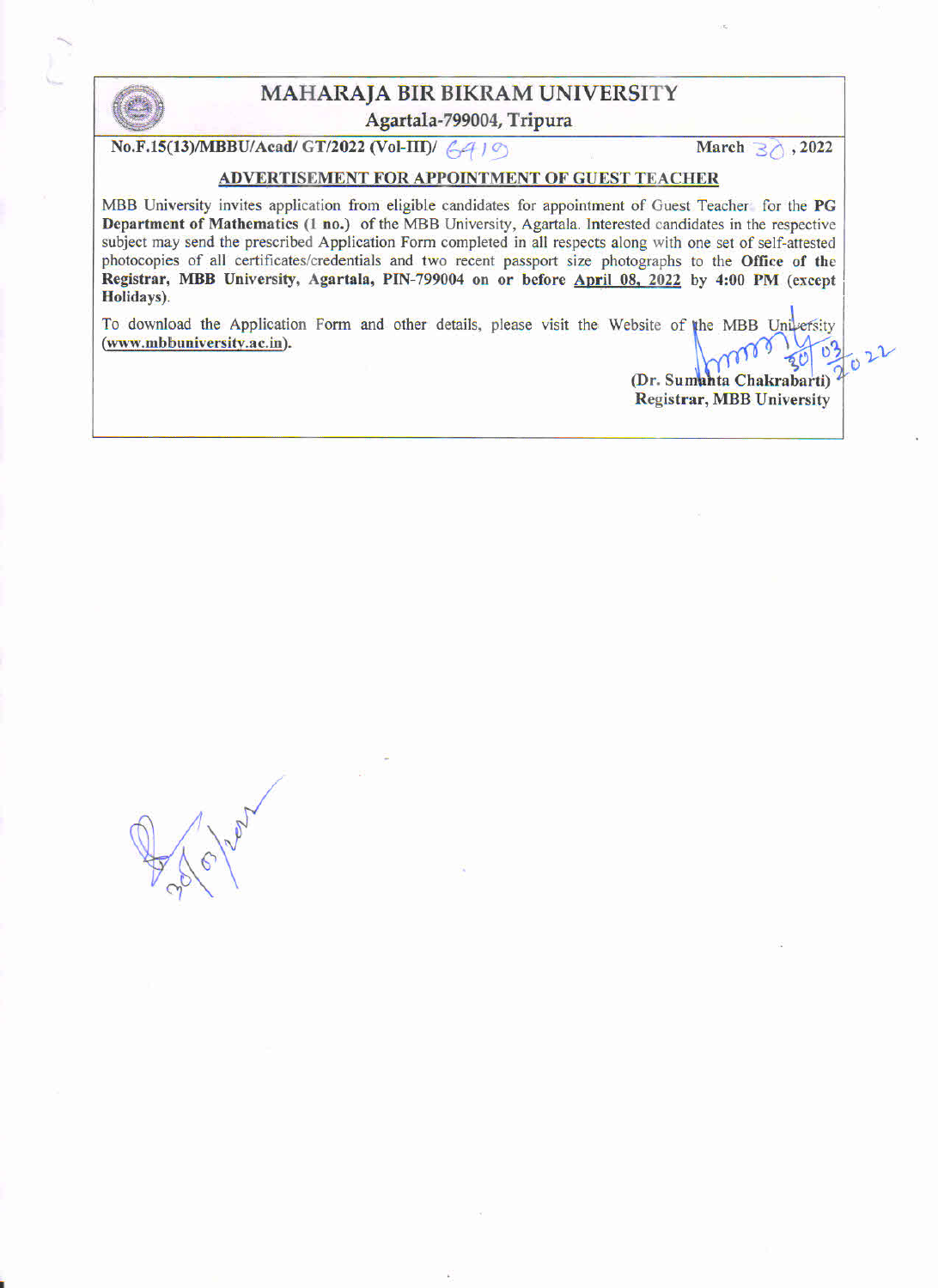

# MAHARAJA BIR BIKRAM UNIVERSITY MAHARAJA BIR BIKRAM UNIVERSITY<br>
Agartala-799004, Tripura<br>
No.F.15(13)/MBBU/Acad/ GT/2022 (Vol-III)/  $6410$  March 30, 2022

## ADVERTISEMENT FOR APPOINTMENT OF GUEST TEACHER

MBB University invites application from eligible candidates for appointment of Guest Teacher for the PG Department of Mathematics (1 no.) of the MBB University, Agartaia. Interested candidates in the respective subject may send the prescribed Application Form completed in all respects aiong with one set of self-attested photocopies of all certificates/credentials and two recent passport size photographs to the Office of the Registrar, MBB University, Agartala, PIN-799004 on or before April 08, 2022 by 4:00 PM (except Holidays}.

To download the Application Form and other details, please visit the Website of the MBB University (www.mbbuniversity.ac.in).

> $\boldsymbol{v}$ (Dr. Sumanta Chakrabarti) Registrar, MBB University

/. Brown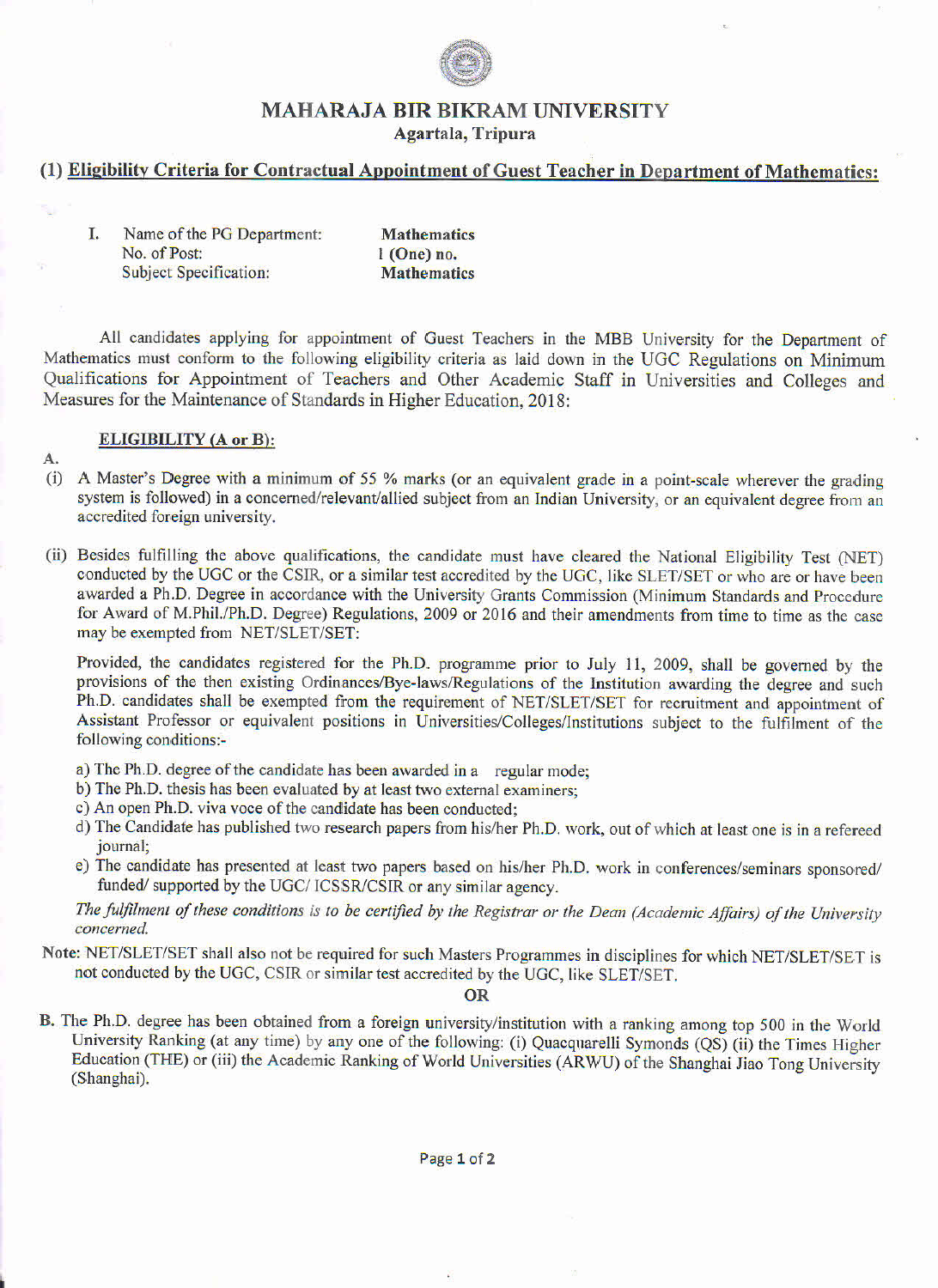

# MAHARAJA BIR BIKRAM UNIVERSITY

Agartala, Tripura

# (1) Eligibility Criteria for Contractual Appointment of Guest Teacher in Department of Mathematics:

| I. | Name of the PG Department:    | <b>Mathematics</b> |
|----|-------------------------------|--------------------|
|    | No. of Post:                  | $1$ (One) no.      |
|    | <b>Subject Specification:</b> | <b>Mathematics</b> |

All candidates applying for appointment of Guest Teachers in the MBB University for the Department of Mathematics must conform to the following eligibility criteria as laid down in the UGC Regulations on Minimum Qualifications for Appointment of Teachers and Other Academic Staff in Universities and Colleges and Measures for the Maintenance of Standards in Higher Education, 2018:

# ELIGIBILITY (A or B):

A.

- (i) A Master's Degree with a minimum of <sup>55</sup> % marks (or an equivalent grade in <sup>a</sup> point-scale wherever the grading system is followed) in a concerned/relevant/allied subject from an Indian University, or an equivalent degree from an accredited foreign university.
- (ii) Besides fulfilling the above qualifications, the candidate must have cleared the National Eligibility Test (NET) conducted by the UGC or the CSIR, or a similar test accredited by the UGC, like SLET/SET or who are or have been awarded a Ph.D. Degree in accordance with the University Grants Commission (Minimum Standards and Procedure for Award of M.Phil./Ph.D. Degree) Regulations, 2009 or 2016 and their amendments from time to time as the case may be exempted from NET/SLET/SET:

Provided, the candidates registered for the Ph.D. programme prior to July ll, 2009, shall be governed by the provisions of the then existing Ordinances/Bye-laws/Regulations of the Institution awarding the degree and such Ph.D. candidates shall be exempted from the requirement of NET/SLET/SET for recruitment and appointment of Assistant Professor or equivalent positions in Universities/Colleges/Institutions subject to the fulfilment of the following conditions:-

- a) The Ph.D. degree of the candidate has been awarded in a regular mode;
- b) The Ph.D. thesis has been evaluated by at least two extemal examiners;
- c) An open Ph.D. viva voce of the candidate has been conducted;
- d) The Candidate has published two research papers from his/her Ph.D. work, out of which at least one is in a refereed journal;
- e) The candidate has presented at least two papers based on his/her Ph.D. work in conferences/seminars sponsored/ funded/supported by the UGC/ICSSR/CSIR or any similar agency.

The fulfilment of these conditions is to be certified by the Registrar or the Dean (Academic Affairs) of the University concerned.

Note: NET/SLET/SET shall also not be required for such Masters Programmes in disciplines for which NET/SLET/SET is not conducted by the UGC, CSIR or similar test accredited by the UGC, like SLET/SET.

OR

B. The Ph.D. degree has been obtained from a foreign university/institution with a ranking among top 500 in the World University Ranking (at any time) by any one of the following: (i) Quacquarelli Symonds (QS) (ii) the Times Higher Education (THE) or (iii) the Academic Ranking of World Universities (ARWU) of the Shanghai Jiao Tong University (Shanghai).